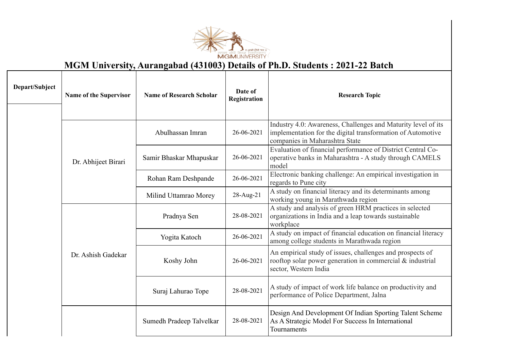

## **MGM University, Aurangabad (431003) Details of Ph.D. Students : 2021-22 Batch**

| Depart/Subject | <b>Name of the Supervisor</b> | <b>Name of Research Scholar</b> | Date of<br>Registration | <b>Research Topic</b>                                                                                                                                          |
|----------------|-------------------------------|---------------------------------|-------------------------|----------------------------------------------------------------------------------------------------------------------------------------------------------------|
|                |                               | Abulhassan Imran                | 26-06-2021              | Industry 4.0: Awareness, Challenges and Maturity level of its<br>implementation for the digital transformation of Automotive<br>companies in Maharashtra State |
|                | Dr. Abhijeet Birari           | Samir Bhaskar Mhapuskar         | 26-06-2021              | Evaluation of financial performance of District Central Co-<br>operative banks in Maharashtra - A study through CAMELS<br>model                                |
|                |                               | Rohan Ram Deshpande             | 26-06-2021              | Electronic banking challenge: An empirical investigation in<br>regards to Pune city                                                                            |
|                |                               | Milind Uttamrao Morey           | 28-Aug-21               | A study on financial literacy and its determinants among<br>working young in Marathwada region                                                                 |
|                |                               | Pradnya Sen                     | 28-08-2021              | A study and analysis of green HRM practices in selected<br>organizations in India and a leap towards sustainable<br>workplace                                  |
|                |                               | Yogita Katoch                   | 26-06-2021              | A study on impact of financial education on financial literacy<br>among college students in Marathwada region                                                  |
|                | Dr. Ashish Gadekar            | Koshy John                      | 26-06-2021              | An empirical study of issues, challenges and prospects of<br>rooftop solar power generation in commercial & industrial<br>sector, Western India                |
|                |                               | Suraj Lahurao Tope              | 28-08-2021              | A study of impact of work life balance on productivity and<br>performance of Police Department, Jalna                                                          |
|                |                               | Sumedh Pradeep Talvelkar        | 28-08-2021              | Design And Development Of Indian Sporting Talent Scheme<br>As A Strategic Model For Success In International<br>Tournaments                                    |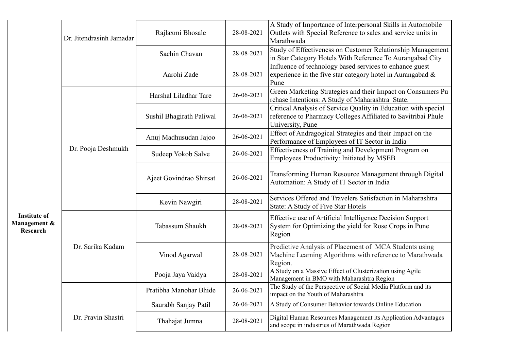|                                                        | Dr. Jitendrasinh Jamadar | Rajlaxmi Bhosale         | 28-08-2021                                                                                          | A Study of Importance of Interpersonal Skills in Automobile<br>Outlets with Special Reference to sales and service units in<br>Marathwada           |
|--------------------------------------------------------|--------------------------|--------------------------|-----------------------------------------------------------------------------------------------------|-----------------------------------------------------------------------------------------------------------------------------------------------------|
|                                                        |                          | Sachin Chavan            | 28-08-2021                                                                                          | Study of Effectiveness on Customer Relationship Management<br>in Star Category Hotels With Reference To Aurangabad City                             |
|                                                        |                          | Aarohi Zade              | 28-08-2021                                                                                          | Influence of technology based services to enhance guest<br>experience in the five star category hotel in Aurangabad $\&$<br>Pune                    |
|                                                        |                          | Harshal Liladhar Tare    | 26-06-2021                                                                                          | Green Marketing Strategies and their Impact on Consumers Pu<br>rchase Intentions: A Study of Maharashtra State.                                     |
|                                                        |                          | Sushil Bhagirath Paliwal | 26-06-2021                                                                                          | Critical Analysis of Service Quality in Education with special<br>reference to Pharmacy Colleges Affiliated to Savitribai Phule<br>University, Pune |
|                                                        |                          | Anuj Madhusudan Jajoo    | 26-06-2021                                                                                          | Effect of Andragogical Strategies and their Impact on the<br>Performance of Employees of IT Sector in India                                         |
|                                                        | Dr. Pooja Deshmukh       | Sudeep Yokob Salve       | 26-06-2021                                                                                          | Effectiveness of Training and Development Program on<br>Employees Productivity: Initiated by MSEB                                                   |
|                                                        | Ajeet Govindrao Shirsat  | 26-06-2021               | Transforming Human Resource Management through Digital<br>Automation: A Study of IT Sector in India |                                                                                                                                                     |
|                                                        |                          | Kevin Nawgiri            | 28-08-2021                                                                                          | Services Offered and Travelers Satisfaction in Maharashtra<br>State: A Study of Five Star Hotels                                                    |
| <b>Institute of</b><br>Management &<br><b>Research</b> |                          | Tabassum Shaukh          | 28-08-2021                                                                                          | Effective use of Artificial Intelligence Decision Support<br>System for Optimizing the yield for Rose Crops in Pune<br>Region                       |
|                                                        | Dr. Sarika Kadam         | Vinod Agarwal            | 28-08-2021                                                                                          | Predictive Analysis of Placement of MCA Students using<br>Machine Learning Algorithms with reference to Marathwada<br>Region.                       |
|                                                        |                          | Pooja Jaya Vaidya        | 28-08-2021                                                                                          | A Study on a Massive Effect of Clusterization using Agile<br>Management in BMO with Maharashtra Region                                              |
|                                                        |                          | Pratibha Manohar Bhide   | 26-06-2021                                                                                          | The Study of the Perspective of Social Media Platform and its<br>impact on the Youth of Maharashtra                                                 |
|                                                        |                          | Saurabh Sanjay Patil     | 26-06-2021                                                                                          | A Study of Consumer Behavior towards Online Education                                                                                               |
|                                                        | Dr. Pravin Shastri       | Thahajat Jumna           | 28-08-2021                                                                                          | Digital Human Resources Management its Application Advantages<br>and scope in industries of Marathwada Region                                       |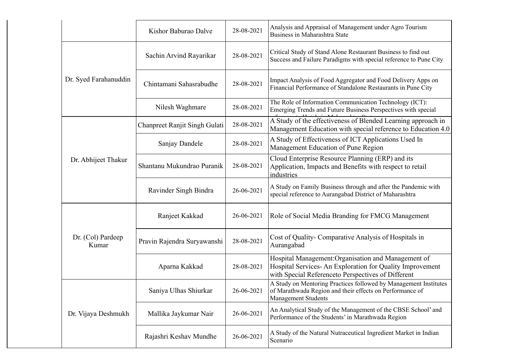|                            | Kishor Baburao Dalve          | 28-08-2021 | Analysis and Appraisal of Management under Agro Tourism<br>Business in Maharashtra State                                                                                |
|----------------------------|-------------------------------|------------|-------------------------------------------------------------------------------------------------------------------------------------------------------------------------|
|                            | Sachin Arvind Rayarikar       | 28-08-2021 | Critical Study of Stand Alone Restaurant Business to find out<br>Success and Failure Paradigms with special reference to Pune City                                      |
| Dr. Syed Farahanuddin      | Chintamani Sahasrabudhe       | 28-08-2021 | Impact Analysis of Food Aggregator and Food Delivery Apps on<br>Financial Performance of Standalone Restaurants in Pune City                                            |
|                            | Nilesh Waghmare               | 28-08-2021 | The Role of Information Communication Technology (ICT):<br>Emerging Trends and Future Business Perspectives with special                                                |
|                            | Chanpreet Ranjit Singh Gulati | 28-08-2021 | A Study of the effectiveness of Blended Learning approach in<br>Management Education with special reference to Education 4.0                                            |
|                            | Sanjay Dandele                | 28-08-2021 | A Study of Effectiveness of ICT Applications Used In<br>Management Education of Pune Region                                                                             |
| Dr. Abhijeet Thakur        | Shantanu Mukundrao Puranik    | 28-08-2021 | Cloud Enterprise Resource Planning (ERP) and its<br>Application, Impacts and Benefits with respect to retail<br>industries                                              |
|                            | Ravinder Singh Bindra         | 26-06-2021 | A Study on Family Business through and after the Pandemic with<br>special reference to Aurangabad District of Maharashtra                                               |
|                            | Ranjeet Kakkad                | 26-06-2021 | Role of Social Media Branding for FMCG Management                                                                                                                       |
| Dr. (Col) Pardeep<br>Kumar | Pravin Rajendra Suryawanshi   | 28-08-2021 | Cost of Quality- Comparative Analysis of Hospitals in<br>Aurangabad                                                                                                     |
|                            | Aparna Kakkad                 | 28-08-2021 | Hospital Management: Organisation and Management of<br>Hospital Services- An Exploration for Quality Improvement<br>with Special Reference to Perspectives of Different |
|                            | Saniya Ulhas Shiurkar         | 26-06-2021 | A Study on Mentoring Practices followed by Management Institutes<br>of Marathwada Region and their effects on Performance of<br><b>Management Students</b>              |
| Dr. Vijaya Deshmukh        | Mallika Jaykumar Nair         | 26-06-2021 | An Analytical Study of the Management of the CBSE School' and<br>Performance of the Students' in Marathwada Region                                                      |
|                            | Rajashri Keshav Mundhe        | 26-06-2021 | A Study of the Natural Nutraceutical Ingredient Market in Indian<br>Scenario                                                                                            |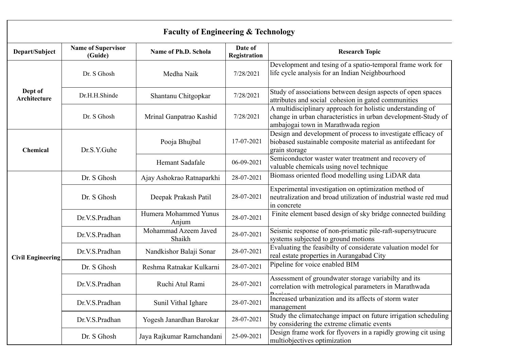|                          |                                      | <b>Faculty of Engineering &amp; Technology</b> |                         |                                                                                                                                                                    |
|--------------------------|--------------------------------------|------------------------------------------------|-------------------------|--------------------------------------------------------------------------------------------------------------------------------------------------------------------|
| Depart/Subject           | <b>Name of Supervisor</b><br>(Guide) | Name of Ph.D. Schola                           | Date of<br>Registration | <b>Research Topic</b>                                                                                                                                              |
|                          | Dr. S Ghosh                          | Medha Naik                                     | 7/28/2021               | Development and tesing of a spatio-temporal frame work for<br>life cycle analysis for an Indian Neighbourhood                                                      |
| Dept of<br>Architecture  | Dr.H.H.Shinde                        | Shantanu Chitgopkar                            | 7/28/2021               | Study of associations between design aspects of open spaces<br>attributes and social cohesion in gated communities                                                 |
|                          | Dr. S Ghosh                          | Mrinal Ganpatrao Kashid                        | 7/28/2021               | A multidisciplinary approach for holistic understanding of<br>change in urban characteristics in urban development-Study of<br>ambajogai town in Marathwada region |
| Chemical                 | Dr.S.Y.Guhe                          | Pooja Bhujbal                                  | 17-07-2021              | Design and development of process to investigate efficacy of<br>biobased sustainable composite material as antifeedant for<br>grain storage                        |
|                          |                                      | Hemant Sadafale                                | 06-09-2021              | Semiconductor waster water treatment and recovery of<br>valuable chemicals using novel technique                                                                   |
|                          | Dr. S Ghosh                          | Ajay Ashokrao Ratnaparkhi                      | 28-07-2021              | Biomass oriented flood modelling using LiDAR data                                                                                                                  |
|                          | Dr. S Ghosh                          | Deepak Prakash Patil                           | 28-07-2021              | Experimental investigation on optimization method of<br>neutralization and broad utilization of industrial waste red mud<br>in concrete                            |
|                          | Dr.V.S.Pradhan                       | Humera Mohammed Yunus<br>Anjum                 | 28-07-2021              | Finite element based design of sky bridge connected building                                                                                                       |
|                          | Dr.V.S.Pradhan                       | Mohammad Azeem Javed<br>Shaikh                 | 28-07-2021              | Seismic response of non-prismatic pile-raft-supersytrucure<br>systems subjected to ground motions                                                                  |
| <b>Civil Engineering</b> | Dr.V.S.Pradhan                       | Nandkishor Balaji Sonar                        | 28-07-2021              | Evaluating the feasibilty of considerate valuation model for<br>real estate properties in Aurangabad City                                                          |
|                          | Dr. S Ghosh                          | Reshma Ratnakar Kulkarni                       | 28-07-2021              | Pipeline for voice enabled BIM                                                                                                                                     |
|                          | Dr.V.S.Pradhan                       | Ruchi Atul Rami                                | 28-07-2021              | Assessment of groundwater storage variabilty and its<br>correlation with metrological parameters in Marathwada                                                     |
|                          | Dr.V.S.Pradhan                       | Sunil Vithal Ighare                            | 28-07-2021              | Increased urbanization and its affects of storm water<br>management                                                                                                |
|                          | Dr.V.S.Pradhan                       | Yogesh Janardhan Barokar                       | 28-07-2021              | Study the climatechange impact on future irrigation scheduling<br>by considering the extreme climatic events                                                       |
|                          | Dr. S Ghosh                          | Jaya Rajkumar Ramchandani                      | 25-09-2021              | Design frame work for flyovers in a rapidly growing cit using<br>multiobjectives optimization                                                                      |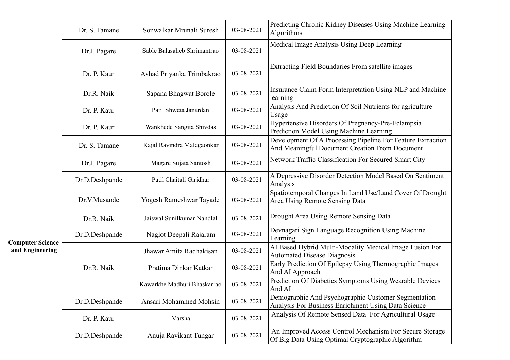|                         | Dr. S. Tamane  | Sonwalkar Mrunali Suresh    | 03-08-2021 | Predicting Chronic Kidney Diseases Using Machine Learning<br>Algorithms                                       |
|-------------------------|----------------|-----------------------------|------------|---------------------------------------------------------------------------------------------------------------|
|                         | Dr.J. Pagare   | Sable Balasaheb Shrimantrao | 03-08-2021 | Medical Image Analysis Using Deep Learning                                                                    |
|                         | Dr. P. Kaur    | Avhad Priyanka Trimbakrao   | 03-08-2021 | Extracting Field Boundaries From satellite images                                                             |
|                         | Dr.R. Naik     | Sapana Bhagwat Borole       | 03-08-2021 | Insurance Claim Form Interpretation Using NLP and Machine<br>learning                                         |
|                         | Dr. P. Kaur    | Patil Shweta Janardan       | 03-08-2021 | Analysis And Prediction Of Soil Nutrients for agriculture<br>Usage                                            |
|                         | Dr. P. Kaur    | Wankhede Sangita Shivdas    | 03-08-2021 | Hypertensive Disorders Of Pregnancy-Pre-Eclampsia<br>Prediction Model Using Machine Learning                  |
|                         | Dr. S. Tamane  | Kajal Ravindra Malegaonkar  | 03-08-2021 | Development Of A Processing Pipeline For Feature Extraction<br>And Meaningful Document Creation From Document |
|                         | Dr.J. Pagare   | Magare Sujata Santosh       | 03-08-2021 | Network Traffic Classification For Secured Smart City                                                         |
|                         | Dr.D.Deshpande | Patil Chaitali Giridhar     | 03-08-2021 | A Depressive Disorder Detection Model Based On Sentiment<br>Analysis                                          |
|                         | Dr.V.Musande   | Yogesh Rameshwar Tayade     | 03-08-2021 | Spatiotemporal Changes In Land Use/Land Cover Of Drought<br>Area Using Remote Sensing Data                    |
|                         | Dr.R. Naik     | Jaiswal Sunilkumar Nandlal  | 03-08-2021 | Drought Area Using Remote Sensing Data                                                                        |
| <b>Computer Science</b> | Dr.D.Deshpande | Naglot Deepali Rajaram      | 03-08-2021 | Devnagari Sign Language Recognition Using Machine<br>Learning                                                 |
| and Engineering         |                | Jhawar Amita Radhakisan     | 03-08-2021 | AI Based Hybrid Multi-Modality Medical Image Fusion For<br><b>Automated Disease Diagnosis</b>                 |
|                         | Dr.R. Naik     | Pratima Dinkar Katkar       | 03-08-2021 | Early Prediction Of Epilepsy Using Thermographic Images<br>And AI Approach                                    |
|                         |                | Kawarkhe Madhuri Bhaskarrao | 03-08-2021 | Prediction Of Diabetics Symptoms Using Wearable Devices<br>And AI                                             |
|                         | Dr.D.Deshpande | Ansari Mohammed Mohsin      | 03-08-2021 | Demographic And Psychographic Customer Segmentation<br>Analysis For Business Enrichment Using Data Science    |
|                         | Dr. P. Kaur    | Varsha                      | 03-08-2021 | Analysis Of Remote Sensed Data For Agricultural Usage                                                         |
|                         | Dr.D.Deshpande | Anuja Ravikant Tungar       | 03-08-2021 | An Improved Access Control Mechanism For Secure Storage<br>Of Big Data Using Optimal Cryptographic Algorithm  |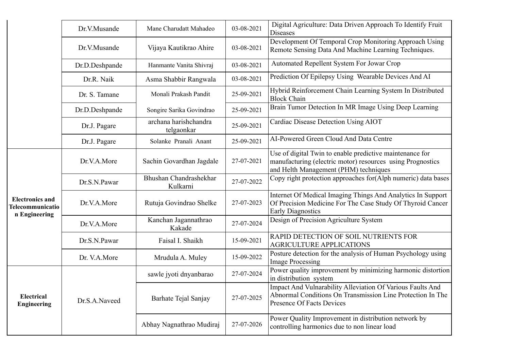|                                                             | Dr.V.Musande   | Mane Charudatt Mahadeo              | 03-08-2021 | Digital Agriculture: Data Driven Approach To Identify Fruit<br><b>Diseases</b>                                                                                  |
|-------------------------------------------------------------|----------------|-------------------------------------|------------|-----------------------------------------------------------------------------------------------------------------------------------------------------------------|
|                                                             | Dr.V.Musande   | Vijaya Kautikrao Ahire              | 03-08-2021 | Development Of Temporal Crop Monitoring Approach Using<br>Remote Sensing Data And Machine Learning Techniques.                                                  |
|                                                             | Dr.D.Deshpande | Hanmante Vanita Shivraj             | 03-08-2021 | Automated Repellent System For Jowar Crop                                                                                                                       |
|                                                             | Dr.R. Naik     | Asma Shabbir Rangwala               | 03-08-2021 | Prediction Of Epilepsy Using Wearable Devices And AI                                                                                                            |
|                                                             | Dr. S. Tamane  | Monali Prakash Pandit               | 25-09-2021 | Hybrid Reinforcement Chain Learning System In Distributed<br><b>Block Chain</b>                                                                                 |
|                                                             | Dr.D.Deshpande | Songire Sarika Govindrao            | 25-09-2021 | Brain Tumor Detection In MR Image Using Deep Learning                                                                                                           |
|                                                             | Dr.J. Pagare   | archana harishchandra<br>telgaonkar | 25-09-2021 | Cardiac Disease Detection Using AIOT                                                                                                                            |
|                                                             | Dr.J. Pagare   | Solanke Pranali Anant               | 25-09-2021 | AI-Powered Green Cloud And Data Centre                                                                                                                          |
|                                                             | Dr.V.A.More    | Sachin Govardhan Jagdale            | 27-07-2021 | Use of digital Twin to enable predictive maintenance for<br>manufacturing (electric motor) resources using Prognostics<br>and Helth Management (PHM) techniques |
|                                                             | Dr.S.N.Pawar   | Bhushan Chandrashekhar<br>Kulkarni  | 27-07-2022 | Copy right protection approaches for(Alph numeric) data bases                                                                                                   |
| <b>Electronics and</b><br>Telecommunicatio<br>n Engineering | Dr.V.A.More    | Rutuja Govindrao Shelke             | 27-07-2023 | Internet Of Medical Imaging Things And Analytics In Support<br>Of Precision Medicine For The Case Study Of Thyroid Cancer<br><b>Early Diagnostics</b>           |
|                                                             | Dr.V.A.More    | Kanchan Jagannathrao<br>Kakade      | 27-07-2024 | Design of Precision Agriculture System                                                                                                                          |
|                                                             | Dr.S.N.Pawar   | Faisal I. Shaikh                    | 15-09-2021 | RAPID DETECTION OF SOIL NUTRIENTS FOR<br><b>AGRICULTURE APPLICATIONS</b>                                                                                        |
|                                                             | Dr. V.A.More   | Mrudula A. Muley                    | 15-09-2022 | Posture detection for the analysis of Human Psychology using<br><b>Image Processing</b>                                                                         |
|                                                             |                | sawle jyoti dnyanbarao              | 27-07-2024 | Power quality improvement by minimizing harmonic distortion<br>in distribution system                                                                           |
| Electrical<br><b>Engineering</b>                            | Dr.S.A.Naveed  | Barhate Tejal Sanjay                | 27-07-2025 | Impact And Vulnarability Alleviation Of Various Faults And<br>Abnormal Conditions On Transmission Line Protection In The<br>Presence Of Facts Devices           |
|                                                             |                | Abhay Nagnathrao Mudiraj            | 27-07-2026 | Power Quality Improvement in distribution network by<br>controlling harmonics due to non linear load                                                            |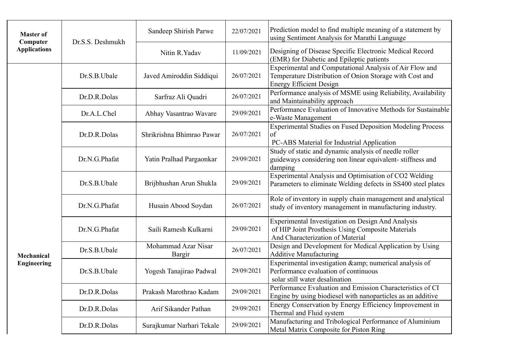| <b>Master of</b><br>Computer | Dr.S.S. Deshmukh | Sandeep Shirish Parwe         | 22/07/2021 | Prediction model to find multiple meaning of a statement by<br>using Sentiment Analysis for Marathi Language                                         |
|------------------------------|------------------|-------------------------------|------------|------------------------------------------------------------------------------------------------------------------------------------------------------|
| <b>Applications</b>          |                  | Nitin R.Yadav                 | 11/09/2021 | Designing of Disease Specific Electronic Medical Record<br>(EMR) for Diabetic and Epileptic patients                                                 |
|                              | Dr.S.B.Ubale     | Javed Amiroddin Siddiqui      | 26/07/2021 | Experimental and Computational Analysis of Air Flow and<br>Temperature Distribution of Onion Storage with Cost and<br><b>Energy Efficient Design</b> |
|                              | Dr.D.R.Dolas     | Sarfraz Ali Quadri            | 26/07/2021 | Performance analysis of MSME using Reliability, Availability<br>and Maintainability approach                                                         |
|                              | Dr.A.L.Chel      | Abhay Vasantrao Wavare        | 29/09/2021 | Performance Evaluation of Innovative Methods for Sustainable<br>e-Waste Management                                                                   |
|                              | Dr.D.R.Dolas     | Shrikrishna Bhimrao Pawar     | 26/07/2021 | <b>Experimental Studies on Fused Deposition Modeling Process</b><br>of<br>PC-ABS Material for Industrial Application                                 |
|                              | Dr.N.G.Phafat    | Yatin Pralhad Pargaonkar      | 29/09/2021 | Study of static and dynamic analysis of needle roller<br>guideways considering non linear equivalent-stiffness and<br>damping                        |
|                              | Dr.S.B.Ubale     | Brijbhushan Arun Shukla       | 29/09/2021 | Experimental Analysis and Optimisation of CO2 Welding<br>Parameters to eliminate Welding defects in SS400 steel plates                               |
|                              | Dr.N.G.Phafat    | Husain Abood Soydan           | 26/07/2021 | Role of inventory in supply chain management and analytical<br>study of inventory management in manufacturing industry.                              |
|                              | Dr.N.G.Phafat    | Saili Ramesh Kulkarni         | 29/09/2021 | <b>Experimental Investigation on Design And Analysis</b><br>of HIP Joint Prosthesis Using Composite Materials<br>And Characterization of Material    |
| Mechanical                   | Dr.S.B.Ubale     | Mohammad Azar Nisar<br>Bargir | 26/07/2021 | Design and Development for Medical Application by Using<br><b>Additive Manufacturing</b>                                                             |
| <b>Engineering</b>           | Dr.S.B.Ubale     | Yogesh Tanajirao Padwal       | 29/09/2021 | Experimental investigation & numerical analysis of<br>Performance evaluation of continuous<br>solar still water desalination                         |
|                              | Dr.D.R.Dolas     | Prakash Marothrao Kadam       | 29/09/2021 | Performance Evaluation and Emission Characteristics of CI<br>Engine by using biodiesel with nanoparticles as an additive                             |
|                              | Dr.D.R.Dolas     | Arif Sikander Pathan          | 29/09/2021 | Energy Conservation by Energy Efficiency Improvement in<br>Thermal and Fluid system                                                                  |
|                              | Dr.D.R.Dolas     | Surajkumar Narhari Tekale     | 29/09/2021 | Manufacturing and Tribological Performance of Aluminium<br>Metal Matrix Composite for Piston Ring                                                    |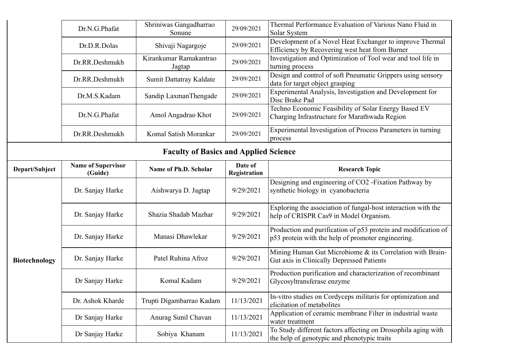|                      | Dr.N.G.Phafat                        | Shriniwas Gangadharrao<br>Sonune             | 29/09/2021              | Thermal Performance Evaluation of Various Nano Fluid in<br>Solar System                                              |
|----------------------|--------------------------------------|----------------------------------------------|-------------------------|----------------------------------------------------------------------------------------------------------------------|
|                      | Dr.D.R.Dolas                         | Shivaji Nagargoje                            | 29/09/2021              | Development of a Novel Heat Exchanger to improve Thermal<br>Efficiency by Recovering west heat from Burner           |
|                      | Dr.RR.Deshmukh                       | Kirankumar Ramakantrao<br>Jagtap             | 29/09/2021              | Investigation and Optimization of Tool wear and tool life in<br>turning process                                      |
|                      | Dr.RR.Deshmukh                       | Sumit Dattatray Kaldate                      | 29/09/2021              | Design and control of soft Pneumatic Grippers using sensory<br>data for target object grasping                       |
|                      | Dr.M.S.Kadam                         | Sandip LaxmanThengade                        | 29/09/2021              | Experimental Analysis, Investigation and Development for<br>Disc Brake Pad                                           |
|                      | Dr.N.G.Phafat                        | Amol Angadrao Khot                           | 29/09/2021              | Techno Economic Feasibility of Solar Energy Based EV<br>Charging Infrastructure for Marathwada Region                |
|                      | Dr.RR.Deshmukh                       | Komal Satish Morankar                        | 29/09/2021              | Experimental Investigation of Process Parameters in turning<br>process                                               |
|                      |                                      | <b>Faculty of Basics and Applied Science</b> |                         |                                                                                                                      |
| Depart/Subject       | <b>Name of Supervisor</b><br>(Guide) | Name of Ph.D. Scholar                        | Date of<br>Registration | <b>Research Topic</b>                                                                                                |
|                      | Dr. Sanjay Harke                     | Aishwarya D. Jagtap                          | 9/29/2021               | Designing and engineering of CO2 - Fixation Pathway by<br>synthetic biology in cyanobacteria                         |
|                      | Dr. Sanjay Harke                     | Shazia Shadab Mazhar                         | 9/29/2021               | Exploring the association of fungal-host interaction with the<br>help of CRISPR Cas9 in Model Organism.              |
|                      | Dr. Sanjay Harke                     | Manasi Dhawlekar                             | 9/29/2021               | Production and purification of p53 protein and modification of<br>p53 protein with the help of promoter engineering. |
| <b>Biotechnology</b> | Dr. Sanjay Harke                     | Patel Ruhina Afroz                           | 9/29/2021               | Mining Human Gut Microbiome & its Correlation with Brain-<br>Gut axis in Clinically Depressed Patients               |
|                      | Dr Sanjay Harke                      | Komal Kadam                                  | 9/29/2021               | Production purification and characterization of recombinant<br>Glycosyltransferase enzyme                            |
|                      | Dr. Ashok Kharde                     | Trupti Digambarrao Kadam                     | 11/13/2021              | In-vitro studies on Cordyceps militaris for optimization and<br>elicitation of metabolites                           |
|                      | Dr Sanjay Harke                      | Anurag Sunil Chavan                          | 11/13/2021              | Application of ceramic membrane Filter in industrial waste<br>water treatment                                        |
|                      | Dr Sanjay Harke                      | Sobiya Khanam                                | 11/13/2021              | To Study different factors affecting on Drosophila aging with<br>the help of genotypic and phenotypic traits         |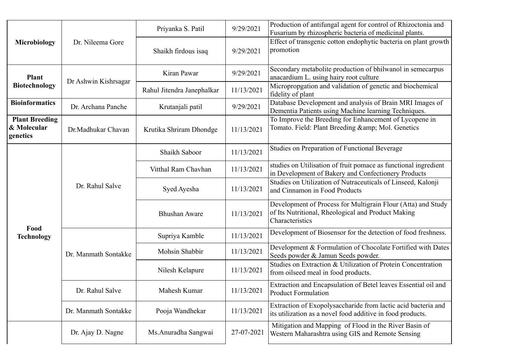|                                                  |                      | Priyanka S. Patil          | 9/29/2021  | Production of antifungal agent for control of Rhizoctonia and<br>Fusarium by rhizospheric bacteria of medicinal plants.               |
|--------------------------------------------------|----------------------|----------------------------|------------|---------------------------------------------------------------------------------------------------------------------------------------|
| Microbiology                                     | Dr. Nileema Gore     | Shaikh firdous isaq        | 9/29/2021  | Effect of transgenic cotton endophytic bacteria on plant growth<br>promotion                                                          |
| <b>Plant</b>                                     | Dr Ashwin Kishrsagar | Kiran Pawar                | 9/29/2021  | Secondary metabolite production of bhilwanol in semecarpus<br>anacardium L. using hairy root culture                                  |
| <b>Biotechnology</b>                             |                      | Rahul Jitendra Janephalkar | 11/13/2021 | Micropropgation and validation of genetic and biochemical<br>fidelity of plant                                                        |
| <b>Bioinformatics</b>                            | Dr. Archana Panche   | Krutanjali patil           | 9/29/2021  | Database Development and analysis of Brain MRI Images of<br>Dementia Patients using Machine learning Techniques.                      |
| <b>Plant Breeding</b><br>& Molecular<br>genetics | Dr.Madhukar Chavan   | Krutika Shriram Dhondge    | 11/13/2021 | To Improve the Breeding for Enhancement of Lycopene in<br>Tomato. Field: Plant Breeding & Mol. Genetics                               |
|                                                  |                      | Shaikh Saboor              | 11/13/2021 | Studies on Preparation of Functional Beverage                                                                                         |
|                                                  | Dr. Rahul Salve      | Vitthal Ram Chavhan        | 11/13/2021 | studies on Utilisation of fruit pomace as functional ingredient<br>in Development of Bakery and Confectionery Products                |
|                                                  |                      | Syed Ayesha                | 11/13/2021 | Studies on Utilization of Nutraceuticals of Linseed, Kalonji<br>and Cinnamon in Food Products                                         |
|                                                  |                      | <b>Bhushan Aware</b>       | 11/13/2021 | Development of Process for Multigrain Flour (Atta) and Study<br>of Its Nutritional, Rheological and Product Making<br>Characteristics |
| Food<br><b>Technology</b>                        |                      | Supriya Kamble             | 11/13/2021 | Development of Biosensor for the detection of food freshness.                                                                         |
|                                                  | Dr. Manmath Sontakke | Mohsin Shabbir             | 11/13/2021 | Development & Formulation of Chocolate Fortified with Dates<br>Seeds powder & Jamun Seeds powder.                                     |
|                                                  |                      | Nilesh Kelapure            | 11/13/2021 | Studies on Extraction & Utilization of Protein Concentration<br>from oilseed meal in food products.                                   |
|                                                  | Dr. Rahul Salve      | Mahesh Kumar               | 11/13/2021 | Extraction and Encapsulation of Betel leaves Essential oil and<br><b>Product Formulation</b>                                          |
|                                                  | Dr. Manmath Sontakke | Pooja Wandhekar            | 11/13/2021 | Extraction of Exopolysaccharide from lactic acid bacteria and<br>its utilization as a novel food additive in food products.           |
|                                                  | Dr. Ajay D. Nagne    | Ms.Anuradha Sangwai        | 27-07-2021 | Mitigation and Mapping of Flood in the River Basin of<br>Western Maharashtra using GIS and Remote Sensing                             |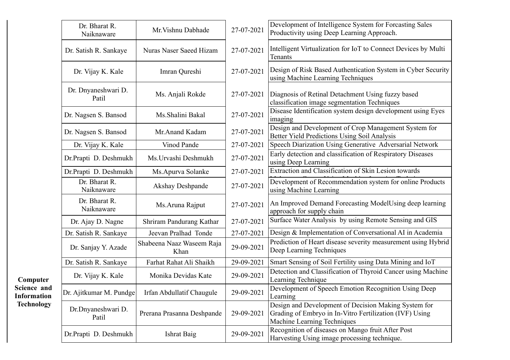|                                   | Dr. Bharat R.<br>Naiknaware  | Mr. Vishnu Dabhade                | 27-07-2021 | Development of Intelligence System for Forcasting Sales<br>Productivity using Deep Learning Approach.                                          |
|-----------------------------------|------------------------------|-----------------------------------|------------|------------------------------------------------------------------------------------------------------------------------------------------------|
|                                   | Dr. Satish R. Sankaye        | Nuras Naser Saeed Hizam           | 27-07-2021 | Intelligent Virtualization for IoT to Connect Devices by Multi<br>Tenants                                                                      |
|                                   | Dr. Vijay K. Kale            | Imran Qureshi                     | 27-07-2021 | Design of Risk Based Authentication System in Cyber Security<br>using Machine Learning Techniques                                              |
|                                   | Dr. Dnyaneshwari D.<br>Patil | Ms. Anjali Rokde                  | 27-07-2021 | Diagnosis of Retinal Detachment Using fuzzy based<br>classification image segmentation Techniques                                              |
|                                   | Dr. Nagsen S. Bansod         | Ms.Shalini Bakal                  | 27-07-2021 | Disease Identification system design development using Eyes<br>imaging                                                                         |
|                                   | Dr. Nagsen S. Bansod         | Mr.Anand Kadam                    | 27-07-2021 | Design and Development of Crop Management System for<br><b>Better Yield Predictions Using Soil Analysis</b>                                    |
|                                   | Dr. Vijay K. Kale            | Vinod Pande                       | 27-07-2021 | Speech Diarization Using Generative Adversarial Network                                                                                        |
|                                   | Dr.Prapti D. Deshmukh        | Ms. Urvashi Deshmukh              | 27-07-2021 | Early detection and classification of Respiratory Diseases<br>using Deep Learning                                                              |
|                                   | Dr.Prapti D. Deshmukh        | Ms.Apurva Solanke                 | 27-07-2021 | Extraction and Classification of Skin Lesion towards                                                                                           |
|                                   | Dr. Bharat R.<br>Naiknaware  | Akshay Deshpande                  | 27-07-2021 | Development of Recommendation system for online Products<br>using Machine Learning                                                             |
|                                   | Dr. Bharat R.<br>Naiknaware  | Ms.Aruna Rajput                   | 27-07-2021 | An Improved Demand Forecasting ModelUsing deep learning<br>approach for supply chain                                                           |
|                                   | Dr. Ajay D. Nagne            | Shriram Pandurang Kathar          | 27-07-2021 | Surface Water Analysis by using Remote Sensing and GIS                                                                                         |
|                                   | Dr. Satish R. Sankaye        | Jeevan Pralhad Tonde              | 27-07-2021 | Design & Implementation of Conversational AI in Academia                                                                                       |
|                                   | Dr. Sanjay Y. Azade          | Shabeena Naaz Waseem Raja<br>Khan | 29-09-2021 | Prediction of Heart disease severity measurement using Hybrid<br>Deep Learning Techniques                                                      |
|                                   | Dr. Satish R. Sankaye        | Farhat Rahat Ali Shaikh           | 29-09-2021 | Smart Sensing of Soil Fertility using Data Mining and IoT                                                                                      |
| Computer                          | Dr. Vijay K. Kale            | Monika Devidas Kate               | 29-09-2021 | Detection and Classification of Thyroid Cancer using Machine<br>Learning Technique                                                             |
| Science and<br><b>Information</b> | Dr. Ajitkumar M. Pundge      | Irfan Abdullatif Chaugule         | 29-09-2021 | Development of Speech Emotion Recognition Using Deep<br>Learning                                                                               |
| <b>Technology</b>                 | Dr.Dnyaneshwari D.<br>Patil  | Prerana Prasanna Deshpande        | 29-09-2021 | Design and Development of Decision Making System for<br>Grading of Embryo in In-Vitro Fertilization (IVF) Using<br>Machine Learning Techniques |
|                                   | Dr.Prapti D. Deshmukh        | Ishrat Baig                       | 29-09-2021 | Recognition of diseases on Mango fruit After Post<br>Harvesting Using image processing technique.                                              |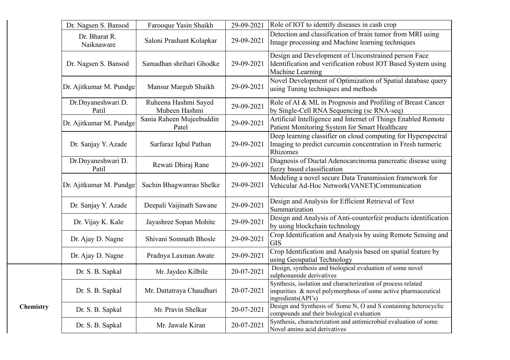|           | Dr. Nagsen S. Bansod        | Farooque Yasin Shaikh                 | 29-09-2021 | Role of IOT to identify diseases in cash crop                                                                                                       |
|-----------|-----------------------------|---------------------------------------|------------|-----------------------------------------------------------------------------------------------------------------------------------------------------|
|           | Dr. Bharat R.<br>Naiknaware | Saloni Prashant Kolapkar              | 29-09-2021 | Detection and classification of brain tumor from MRI using<br>Image processing and Machine learning techniques                                      |
|           | Dr. Nagsen S. Bansod        | Samadhan shrihari Ghodke              | 29-09-2021 | Design and Development of Unconstrained person Face<br>Identification and verification robust IOT Based System using<br>Machine Learning            |
|           | Dr. Ajitkumar M. Pundge     | Mansur Margub Shaikh                  | 29-09-2021 | Novel Development of Optimization of Spatial database query<br>using Tuning techniques and methods                                                  |
|           | Dr.Dnyaneshwari D.<br>Patil | Ruheena Hashmi Sayed<br>Mubeen Hashmi | 29-09-2021 | Role of AI & ML in Prognosis and Profiling of Breast Cancer<br>by Single-Cell RNA Sequencing (sc RNA-seq)                                           |
|           | Dr. Ajitkumar M. Pundge     | Sania Raheen Mujeebuddin<br>Patel     | 29-09-2021 | Artificial Intelligence and Internet of Things Enabled Remote<br>Patient Monitoring System for Smart Healthcare                                     |
|           | Dr. Sanjay Y. Azade         | Sarfaraz Iqbal Pathan                 | 29-09-2021 | Deep learning classifier on cloud computing for Hyperspectral<br>Imaging to predict curcumin concentration in Fresh turmeric<br>Rhizomes            |
|           | Dr.Dnyaneshwari D.<br>Patil | Rewati Dhiraj Rane                    | 29-09-2021 | Diagnosis of Ductal Adenocarcinoma pancreatic disease using<br>fuzzy based classification                                                           |
|           | Dr. Ajitkumar M. Pundge     | Sachin Bhagwanrao Shelke              | 29-09-2021 | Modeling a novel secure Data Transmission framework for<br>Vehicular Ad-Hoc Network(VANET)Communication                                             |
|           | Dr. Sanjay Y. Azade         | Deepali Vaijinath Sawane              | 29-09-2021 | Design and Analysis for Efficient Retrieval of Text<br>Summarization                                                                                |
|           | Dr. Vijay K. Kale           | Jayashree Sopan Mohite                | 29-09-2021 | Design and Analysis of Anti-counterfeit products identification<br>by using blockchain technology                                                   |
|           | Dr. Ajay D. Nagne           | Shivani Somnath Bhosle                | 29-09-2021 | Crop Identification and Analysis by using Remote Sensing and<br><b>GIS</b>                                                                          |
|           | Dr. Ajay D. Nagne           | Pradnya Laxman Awate                  | 29-09-2021 | Crop Identification and Analysis based on spatial feature by<br>using Geospatial Technology                                                         |
|           | Dr. S. B. Sapkal            | Mr. Jaydeo Kilbile                    | 20-07-2021 | Design, synthesis and biological evaluation of some novel<br>sulphonamide derivatives                                                               |
|           | Dr. S. B. Sapkal            | Mr. Dattatraya Chaudhari              | 20-07-2021 | Synthesis, isolation and characterization of process related<br>impurities & novel polymorphous of some active pharmaceutical<br>ingredients(API's) |
| Chemistry | Dr. S. B. Sapkal            | Mr. Pravin Shelkar                    | 20-07-2021 | Design and Synthesis of Some N, O and S containing heterocyclic<br>compounds and their biological evaluation                                        |
|           | Dr. S. B. Sapkal            | Mr. Jawale Kiran                      | 20-07-2021 | Synthesis, characterization and antimicrobial evaluation of some<br>Novel amino acid derivatives                                                    |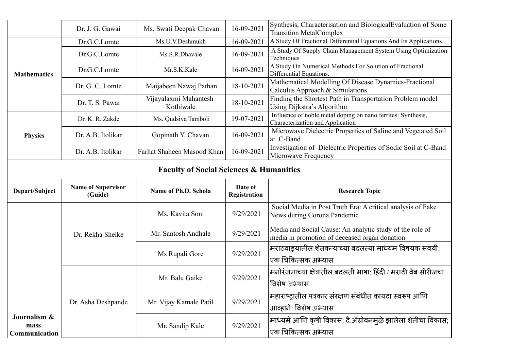|                    | Dr. J. G. Gawai                                    | Ms. Swati Deepak Chavan            | 16-09-2021              | Synthesis, Characterisation and Biological Evaluation of Some<br><b>Transition MetalComplex</b>           |  |
|--------------------|----------------------------------------------------|------------------------------------|-------------------------|-----------------------------------------------------------------------------------------------------------|--|
|                    | Dr.G.C.Lomte                                       | Ms.U.V.Deshmukh                    | 16-09-2021              | A Study Of Fractional Differential Equations And Its Applications                                         |  |
|                    | Dr.G.C.Lomte                                       | Ms.S.R.Dhavale                     | 16-09-2021              | A Study Of Supply Chain Management System Using Optimization<br>Techniques                                |  |
| <b>Mathematics</b> | Dr.G.C.Lomte                                       | Mr.S.K.Kale                        | 16-09-2021              | A Study On Numerical Methods For Solution of Fractional<br>Differential Equations.                        |  |
|                    | Dr. G. C. Lomte                                    | Maijabeen Nawaj Pathan             | 18-10-2021              | Mathematical Modelling Of Disease Dynamics-Fractional<br>Calculus Approach & Simulations                  |  |
|                    | Dr. T. S. Pawar                                    | Vijayalaxmi Mahantesh<br>Kothiwale | 18-10-2021              | Finding the Shortest Path in Transportation Problem model<br>Using Dijkstra's Algorithm                   |  |
|                    | Dr. K. R. Zakde                                    | Ms. Qudsiya Tamboli                | 19-07-2021              | Influence of noble metal doping on nano ferrites: Synthesis,<br>Characterization and Application          |  |
| <b>Physics</b>     | Dr. A.B. Itolikar                                  | Gopinath Y. Chavan                 | 16-09-2021              | Microwave Dielectric Properties of Saline and Vegetated Soil<br>at C-Band                                 |  |
|                    | Dr. A.B. Itolikar                                  | Farhat Shaheen Masood Khan         | 16-09-2021              | Investigation of Dielectric Properties of Sodic Soil at C-Band<br>Microwave Frequency                     |  |
|                    | <b>Faculty of Social Sciences &amp; Humanities</b> |                                    |                         |                                                                                                           |  |
|                    |                                                    |                                    |                         |                                                                                                           |  |
| Depart/Subject     | <b>Name of Supervisor</b><br>(Guide)               | Name of Ph.D. Schola               | Date of<br>Registration | <b>Research Topic</b>                                                                                     |  |
|                    |                                                    | Ms. Kavita Soni                    | 9/29/2021               | Social Media in Post Truth Era: A critical analysis of Fake<br>News during Corona Pandemic                |  |
|                    | Dr. Rekha Shelke                                   | Mr. Santosh Andhale                | 9/29/2021               | Media and Social Cause: An analytic study of the role of<br>media in promotion of deceased organ donation |  |
|                    |                                                    | Ms Rupali Gore                     | 9/29/2021               | मराठवाड्यातील शेतकऱ्याच्या बदलत्या माध्यम विषयक सवयी:                                                     |  |
|                    |                                                    | Mr. Balu Gaike                     | 9/29/2021               | एक चिकित्सक अभ्यास<br>मनोरंजनाच्या क्षेत्रातील बदलती भाषा: हिंदी / मराठी वेब सीरीजचा<br>विशेष अभ्यास      |  |
|                    | Dr. Asha Deshpande                                 | Mr. Vijay Kamale Patil             | 9/29/2021               | महाराष्ट्रातील पत्रकार संरक्षण संबंधीत कायदा स्वरूप आणि<br>आव्हाने: विशेष अभ्यास                          |  |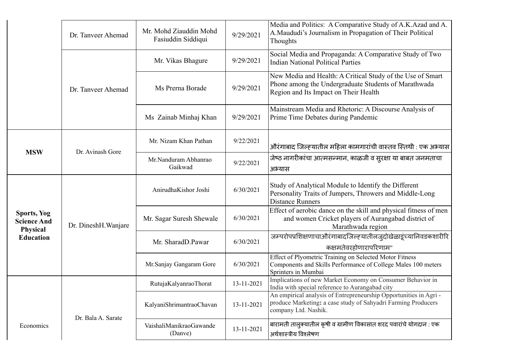|                                                                          | Dr. Tanveer Ahemad   | Mr. Mohd Ziauddin Mohd<br>Fasiuddin Siddiqui | 9/29/2021  | Media and Politics: A Comparative Study of A.K.Azad and A.<br>A.Maududi's Journalism in Propagation of Their Political<br>Thoughts                          |
|--------------------------------------------------------------------------|----------------------|----------------------------------------------|------------|-------------------------------------------------------------------------------------------------------------------------------------------------------------|
|                                                                          |                      | Mr. Vikas Bhagure                            | 9/29/2021  | Social Media and Propaganda: A Comparative Study of Two<br><b>Indian National Political Parties</b>                                                         |
|                                                                          | Dr. Tanveer Ahemad   | Ms Prerna Borade                             | 9/29/2021  | New Media and Health: A Critical Study of the Use of Smart<br>Phone among the Undergraduate Students of Marathwada<br>Region and Its Impact on Their Health |
|                                                                          |                      | Ms Zainab Minhaj Khan                        | 9/29/2021  | Mainstream Media and Rhetoric: A Discourse Analysis of<br>Prime Time Debates during Pandemic                                                                |
| <b>MSW</b>                                                               | Dr. Avinash Gore     | Mr. Nizam Khan Pathan                        | 9/22/2021  | औरंगाबाद जिल्ह्यातील महिला कामगारांची वास्तव स्तिथी : एक अभ्यास                                                                                             |
|                                                                          |                      | Mr.Nanduram Abhanrao<br>Gaikwad              | 9/22/2021  | जेष्ठ नागरीकांचा आत्मसन्मान, काळजी व सुरक्षा या बाबत जनमताचा<br>अभ्यास                                                                                      |
| <b>Sports, Yog</b><br><b>Science And</b><br>Physical<br><b>Education</b> | Dr. DineshH. Wanjare | AnirudhaKishor Joshi                         | 6/30/2021  | Study of Analytical Module to Identify the Different<br>Personality Traits of Jumpers, Throwers and Middle-Long<br><b>Distance Runners</b>                  |
|                                                                          |                      | Mr. Sagar Suresh Shewale                     | 6/30/2021  | Effect of aerobic dance on the skill and physical fitness of men<br>and women Cricket players of Aurangabad district of<br>Marathwada region                |
|                                                                          |                      | Mr. SharadD.Pawar                            | 6/30/2021  | जम्परोपप्रशिक्षणाचाऔरंगाबादजिल्ह्यातीलजुदोखेळाडूंच्यानिवडकशारीरि<br>कक्षमतेवरहोणारापरिणाम"                                                                  |
|                                                                          |                      | Mr. Sanjay Gangaram Gore                     | 6/30/2021  | Effect of Plyometric Training on Selected Motor Fitness<br>Components and Skills Performance of College Males 100 meters<br>Sprinters in Mumbai             |
|                                                                          |                      | RutujaKalyanraoThorat                        | 13-11-2021 | Implications of new Market Economy on Consumer Behavior in<br>India with special reference to Aurangabad city                                               |
| Economics                                                                | Dr. Bala A. Sarate   | KalyaniShrimantraoChavan                     | 13-11-2021 | An empirical analysis of Entrepreneurship Opportunities in Agri -<br>produce Marketing: a case study of Sahyadri Farming Producers<br>company Ltd. Nashik.  |
|                                                                          |                      | VaishaliManikraoGawande<br>(Danve)           | 13-11-2021 | बारामती तालुक्यातील कृषी व ग्रामीण विकासात शरद पवारांचे योगदान : एक<br>अर्थशास्त्रीय विश्लेषण                                                               |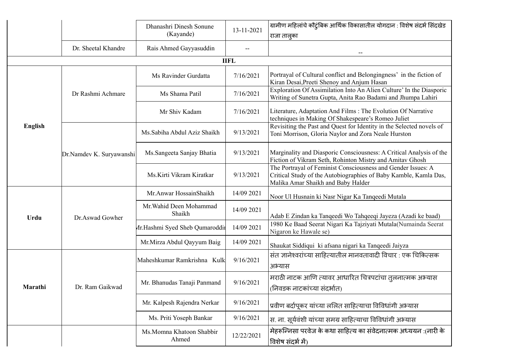|                |                          | Dhanashri Dinesh Sonune<br>(Kayande) | 13-11-2021 | ग्रामीण महिलांचे कौटुंबिक आर्थिक विकासातील योगदान : विशेष संदर्भ सिंदखेड<br>राजा तालुका                                                                                |  |
|----------------|--------------------------|--------------------------------------|------------|------------------------------------------------------------------------------------------------------------------------------------------------------------------------|--|
|                | Dr. Sheetal Khandre      | Rais Ahmed Gayyasuddin               |            |                                                                                                                                                                        |  |
| <b>IIFL</b>    |                          |                                      |            |                                                                                                                                                                        |  |
|                | Dr Rashmi Achmare        | Ms Ravinder Gurdatta                 | 7/16/2021  | Portrayal of Cultural conflict and Belongingness' in the fiction of<br>Kiran Desai, Preeti Shenoy and Anjum Hasan                                                      |  |
|                |                          | Ms Shama Patil                       | 7/16/2021  | Exploration Of Assimilation Into An Alien Culture' In the Diasporic<br>Writing of Sunetra Gupta, Anita Rao Badami and Jhumpa Lahiri                                    |  |
|                |                          | Mr Shiv Kadam                        | 7/16/2021  | Literature, Adaptation And Films: The Evolution Of Narrative<br>techniques in Making Of Shakespeare's Romeo Juliet                                                     |  |
| <b>English</b> | Dr.Namdev K. Suryawanshi | Ms.Sabiha Abdul Aziz Shaikh          | 9/13/2021  | Revisiting the Past and Quest for Identity in the Selected novels of<br>Toni Morrison, Gloria Naylor and Zora Neale Hurston                                            |  |
|                |                          | Ms.Sangeeta Sanjay Bhatia            | 9/13/2021  | Marginality and Diasporic Consciousness: A Critical Analysis of the<br>Fiction of Vikram Seth, Rohinton Mistry and Amitav Ghosh                                        |  |
|                |                          | Ms.Kirti Vikram Kiratkar             | 9/13/2021  | The Portrayal of Feminist Consciousness and Gender Issues: A<br>Critical Study of the Autobiographies of Baby Kamble, Kamla Das,<br>Malika Amar Shaikh and Baby Halder |  |
|                | Dr.Aswad Gowher          | Mr. Anwar HossainShaikh              | 14/09 2021 | Noor Ul Husnain ki Nasr Nigar Ka Tanqeedi Mutala                                                                                                                       |  |
| Urdu           |                          | Mr. Wahid Deen Mohammad<br>Shaikh    | 14/09 2021 | Adab E Zindan ka Tanqeedi Wo Tahqeeqi Jayeza (Azadi ke baad)                                                                                                           |  |
|                |                          | Mr.Hashmi Syed Sheb Qumaroddir       | 14/09 2021 | 1980 Ke Baad Seerat Nigari Ka Tajziyati Mutala(Numainda Seerat<br>Nigaron ke Hawale se)                                                                                |  |
|                |                          | Mr.Mirza Abdul Qayyum Baig           | 14/09 2021 | Shaukat Siddiqui ki afsana nigari ka Tanqeedi Jaiyza                                                                                                                   |  |
|                |                          | Maheshkumar Ramkrishna Kulk          | 9/16/2021  | संत ज्ञानेश्वरांच्या साहित्यातील मानवतावादी विचार: एक चिकित्सक<br>अभ्यास                                                                                               |  |
| Marathi        | Dr. Ram Gaikwad          | Mr. Bhanudas Tanaji Panmand          | 9/16/2021  | मराठी नाटक आणि त्यावर आधारित चित्रपटांचा तुलनात्मक अभ्यास<br>(निवडक नाटकांच्या संदर्भात)                                                                               |  |
|                |                          | Mr. Kalpesh Rajendra Nerkar          | 9/16/2021  | प्रवीण बर्दापूकर यांच्या ललित साहित्याचा विविधांगी अभ्यास                                                                                                              |  |
|                |                          | Ms. Priti Yoseph Bankar              | 9/16/2021  | स. ना. सूर्यवंशी यांच्या समग्र साहित्याचा विविधांगी अभ्यास                                                                                                             |  |
|                |                          | Ms.Momna Khatoon Shabbir<br>Ahmed    | 12/22/2021 | मेहरून्जिसा परवेज के कथा साहित्य का संवेदनात्मक अध्ययन :(नारी के<br>विशेष संदर्भ में)                                                                                  |  |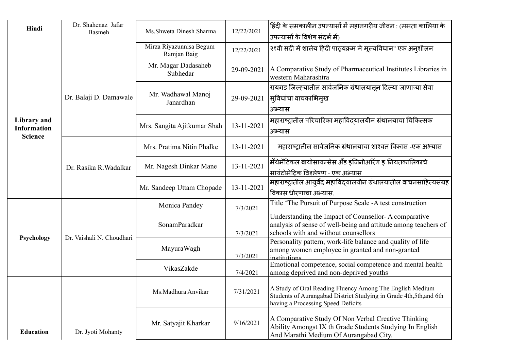| Hindi                                               | Dr. Shahenaz Jafar<br>Basmeh | Ms.Shweta Dinesh Sharma                | 12/22/2021 | हिंदी के समकालीन उपन्यासों में महानगरीय जीवन : (ममता कालिया के<br>उपन्यासों के विशेष संदर्भ में)                                                                      |
|-----------------------------------------------------|------------------------------|----------------------------------------|------------|-----------------------------------------------------------------------------------------------------------------------------------------------------------------------|
|                                                     |                              | Mirza Riyazunnisa Begum<br>Ramjan Baig | 12/22/2021 | २१वी सदी में शालेय हिंदी पाठ्यक्रम में मूल्यविधान" एक अनुशीलन                                                                                                         |
| Library and<br><b>Information</b><br><b>Science</b> | Dr. Balaji D. Damawale       | Mr. Magar Dadasaheb<br>Subhedar        | 29-09-2021 | A Comparative Study of Pharmaceutical Institutes Libraries in<br>western Maharashtra                                                                                  |
|                                                     |                              | Mr. Wadhawal Manoj<br>Janardhan        | 29-09-2021 | रायगड जिल्ह्यातील सार्वजनिक ग्रंथालयातून दिल्या जाणाऱ्या सेवा<br>सुविधांचा वाचकाभिमुख<br>अभ्यास                                                                       |
|                                                     |                              | Mrs. Sangita Ajitkumar Shah            | 13-11-2021 | महाराष्ट्रातील परिचारिका महाविदयालयीन ग्रंथालयाचा चिकित्सक<br>अभ्यास                                                                                                  |
|                                                     | Dr. Rasika R. Wadalkar       | Mrs. Pratima Nitin Phalke              | 13-11-2021 | महाराष्ट्रातील सार्वजनिक ग्रंथालयाचा शाश्वत विकास -एक अभ्यास                                                                                                          |
|                                                     |                              | Mr. Nagesh Dinkar Mane                 | 13-11-2021 | मॅथेमॅटिकल बायोसायन्सेस अँड इंजिनीअरिंग इ-नियतकालिकाचे<br>सायंटोमेटिक विश्लेषण - एक अभ्यास                                                                            |
|                                                     |                              | Mr. Sandeep Uttam Chopade              | 13-11-2021 | महाराष्ट्रातील आयुर्वेद महाविद्यालयीन ग्रंथालयातील वाचनसाहित्यसंग्रह<br>विकास धोरणाचा अभ्यास.                                                                         |
| Psychology                                          | Dr. Vaishali N. Choudhari    | Monica Pandey                          | 7/3/2021   | Title 'The Pursuit of Purpose Scale -A test construction                                                                                                              |
|                                                     |                              | SonamParadkar                          | 7/3/2021   | Understanding the Impact of Counsellor-A comparative<br>analysis of sense of well-being and attitude among teachers of<br>schools with and without counsellors        |
|                                                     |                              | MayuraWagh                             | 7/3/2021   | Personality pattern, work-life balance and quality of life<br>among women employee in granted and non-granted<br><i>institutions</i>                                  |
|                                                     |                              | VikasZakde                             | 7/4/2021   | Emotional competence, social competence and mental health<br>among deprived and non-deprived youths                                                                   |
|                                                     |                              | Ms.Madhura Anvikar                     | 7/31/2021  | A Study of Oral Reading Fluency Among The English Medium<br>Students of Aurangabad District Studying in Grade 4th, 5th, and 6th<br>having a Processing Speed Deficits |
| <b>Education</b>                                    | Dr. Jyoti Mohanty            | Mr. Satyajit Kharkar                   | 9/16/2021  | A Comparative Study Of Non Verbal Creative Thinking<br>Ability Amongst IX th Grade Students Studying In English<br>And Marathi Medium Of Aurangabad City.             |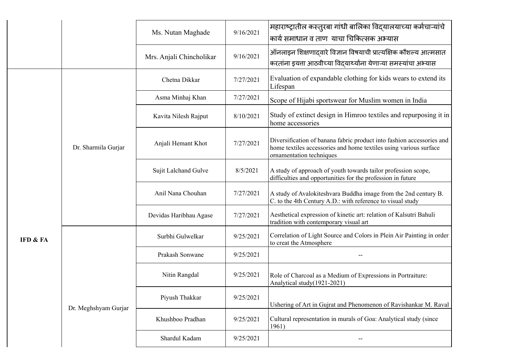|          |                      | Ms. Nutan Maghade        | 9/16/2021 | महाराष्ट्रातील कस्तुरबा गांधी बालिका विदयालयाच्या कर्मचाऱ्यांचे<br>कार्य समाधान व ताण  याचा चिकित्सक अभ्यास                                                            |
|----------|----------------------|--------------------------|-----------|------------------------------------------------------------------------------------------------------------------------------------------------------------------------|
|          |                      | Mrs. Anjali Chincholikar | 9/16/2021 | ऑनलाइन शिक्षणादवारे विज्ञान विषयाची प्रात्यक्षिक कौशल्य आत्मसात<br>करतांना इयत्ता आठवीच्या विदयार्थ्यांना येणाऱ्या समस्यांचा अभ्यास                                    |
|          | Dr. Sharmila Gurjar  | Chetna Dikkar            | 7/27/2021 | Evaluation of expandable clothing for kids wears to extend its<br>Lifespan                                                                                             |
|          |                      | Asma Minhaj Khan         | 7/27/2021 | Scope of Hijabi sportswear for Muslim women in India                                                                                                                   |
| IFD & FA |                      | Kavita Nilesh Rajput     | 8/10/2021 | Study of extinct design in Himroo textiles and repurposing it in<br>home accessories                                                                                   |
|          |                      | Anjali Hemant Khot       | 7/27/2021 | Diversification of banana fabric product into fashion accessories and<br>home textiles accessories and home textiles using various surface<br>ornamentation techniques |
|          |                      | Sujit Lalchand Gulve     | 8/5/2021  | A study of approach of youth towards tailor profession scope,<br>difficulties and opportunities for the profession in future                                           |
|          |                      | Anil Nana Chouhan        | 7/27/2021 | A study of Avalokiteshvara Buddha image from the 2nd century B.<br>C. to the 4th Century A.D.: with reference to visual study                                          |
|          |                      | Devidas Haribhau Agase   | 7/27/2021 | Aesthetical expression of kinetic art: relation of Kalsutri Bahuli<br>tradition with contemporary visual art                                                           |
|          |                      | Surbhi Gulwelkar         | 9/25/2021 | Correlation of Light Source and Colors in Plein Air Painting in order<br>to creat the Atmosphere                                                                       |
|          |                      | Prakash Sonwane          | 9/25/2021 |                                                                                                                                                                        |
|          | Dr. Meghshyam Gurjar | Nitin Rangdal            | 9/25/2021 | Role of Charcoal as a Medium of Expressions in Portraiture:<br>Analytical study(1921-2021)                                                                             |
|          |                      | Piyush Thakkar           | 9/25/2021 | Ushering of Art in Gujrat and Phenomenon of Ravishankar M. Raval                                                                                                       |
|          |                      | Khushboo Pradhan         | 9/25/2021 | Cultural representation in murals of Goa: Analytical study (since<br>1961)                                                                                             |
|          |                      | Shardul Kadam            | 9/25/2021 |                                                                                                                                                                        |